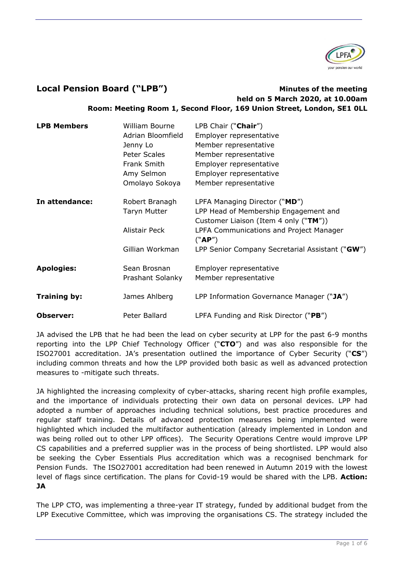

## **Local Pension Board ("LPB") Minutes of the meeting**

# **held on 5 March 2020, at 10.00am Room: Meeting Room 1, Second Floor, 169 Union Street, London, SE1 0LL**

| <b>LPB Members</b>  | William Bourne      | LPB Chair ("Chair")                             |
|---------------------|---------------------|-------------------------------------------------|
|                     | Adrian Bloomfield   | Employer representative                         |
|                     | Jenny Lo            | Member representative                           |
|                     | Peter Scales        | Member representative                           |
|                     | Frank Smith         | Employer representative                         |
|                     | Amy Selmon          | Employer representative                         |
|                     | Omolayo Sokoya      | Member representative                           |
| In attendance:      | Robert Branagh      | LPFA Managing Director ("MD")                   |
|                     | <b>Taryn Mutter</b> | LPP Head of Membership Engagement and           |
|                     |                     | Customer Liaison (Item 4 only ("TM"))           |
|                     | Alistair Peck       | LPFA Communications and Project Manager         |
|                     |                     | ("AP")                                          |
|                     | Gillian Workman     | LPP Senior Company Secretarial Assistant ("GW") |
| <b>Apologies:</b>   | Sean Brosnan        | Employer representative                         |
|                     | Prashant Solanky    | Member representative                           |
| <b>Training by:</b> | James Ahlberg       | LPP Information Governance Manager ("JA")       |
|                     |                     |                                                 |
| <b>Observer:</b>    | Peter Ballard       | LPFA Funding and Risk Director ("PB")           |

JA advised the LPB that he had been the lead on cyber security at LPP for the past 6-9 months reporting into the LPP Chief Technology Officer ("**CTO**") and was also responsible for the ISO27001 accreditation. JA's presentation outlined the importance of Cyber Security ("**CS**") including common threats and how the LPP provided both basic as well as advanced protection measures to -mitigate such threats.

JA highlighted the increasing complexity of cyber-attacks, sharing recent high profile examples, and the importance of individuals protecting their own data on personal devices. LPP had adopted a number of approaches including technical solutions, best practice procedures and regular staff training. Details of advanced protection measures being implemented were highlighted which included the multifactor authentication (already implemented in London and was being rolled out to other LPP offices). The Security Operations Centre would improve LPP CS capabilities and a preferred supplier was in the process of being shortlisted. LPP would also be seeking the Cyber Essentials Plus accreditation which was a recognised benchmark for Pension Funds. The ISO27001 accreditation had been renewed in Autumn 2019 with the lowest level of flags since certification. The plans for Covid-19 would be shared with the LPB. **Action: JA**

The LPP CTO, was implementing a three-year IT strategy, funded by additional budget from the LPP Executive Committee, which was improving the organisations CS. The strategy included the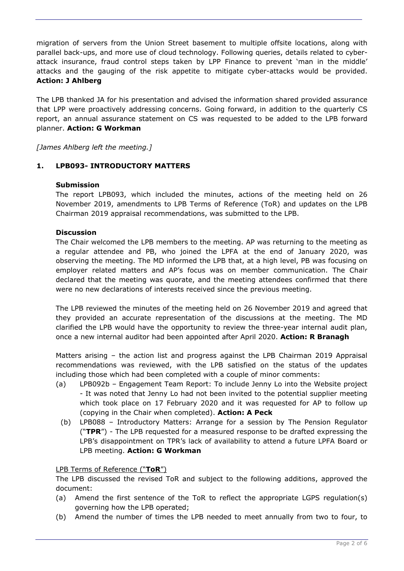migration of servers from the Union Street basement to multiple offsite locations, along with parallel back-ups, and more use of cloud technology. Following queries, details related to cyberattack insurance, fraud control steps taken by LPP Finance to prevent 'man in the middle' attacks and the gauging of the risk appetite to mitigate cyber-attacks would be provided. **Action: J Ahlberg**

The LPB thanked JA for his presentation and advised the information shared provided assurance that LPP were proactively addressing concerns. Going forward, in addition to the quarterly CS report, an annual assurance statement on CS was requested to be added to the LPB forward planner. **Action: G Workman**

*[James Ahlberg left the meeting.]*

## **1. LPB093- INTRODUCTORY MATTERS**

## **Submission**

The report LPB093, which included the minutes, actions of the meeting held on 26 November 2019, amendments to LPB Terms of Reference (ToR) and updates on the LPB Chairman 2019 appraisal recommendations, was submitted to the LPB.

## **Discussion**

The Chair welcomed the LPB members to the meeting. AP was returning to the meeting as a regular attendee and PB, who joined the LPFA at the end of January 2020, was observing the meeting. The MD informed the LPB that, at a high level, PB was focusing on employer related matters and AP's focus was on member communication. The Chair declared that the meeting was quorate, and the meeting attendees confirmed that there were no new declarations of interests received since the previous meeting.

The LPB reviewed the minutes of the meeting held on 26 November 2019 and agreed that they provided an accurate representation of the discussions at the meeting. The MD clarified the LPB would have the opportunity to review the three-year internal audit plan, once a new internal auditor had been appointed after April 2020. **Action: R Branagh**

Matters arising – the action list and progress against the LPB Chairman 2019 Appraisal recommendations was reviewed, with the LPB satisfied on the status of the updates including those which had been completed with a couple of minor comments:

- (a) LPB092b Engagement Team Report: To include Jenny Lo into the Website project - It was noted that Jenny Lo had not been invited to the potential supplier meeting which took place on 17 February 2020 and it was requested for AP to follow up (copying in the Chair when completed). **Action: A Peck**
	- (b) LPB088 Introductory Matters: Arrange for a session by The Pension Regulator ("**TPR**") - The LPB requested for a measured response to be drafted expressing the LPB's disappointment on TPR's lack of availability to attend a future LPFA Board or LPB meeting. **Action: G Workman**

#### LPB Terms of Reference ("**ToR**")

The LPB discussed the revised ToR and subject to the following additions, approved the document:

- (a) Amend the first sentence of the ToR to reflect the appropriate LGPS regulation(s) governing how the LPB operated;
- (b) Amend the number of times the LPB needed to meet annually from two to four, to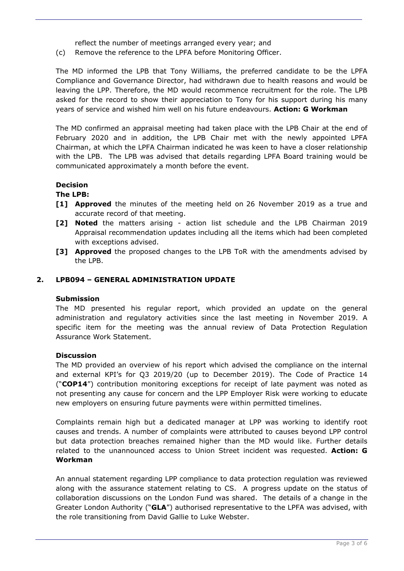reflect the number of meetings arranged every year; and

(c) Remove the reference to the LPFA before Monitoring Officer.

The MD informed the LPB that Tony Williams, the preferred candidate to be the LPFA Compliance and Governance Director, had withdrawn due to health reasons and would be leaving the LPP. Therefore, the MD would recommence recruitment for the role. The LPB asked for the record to show their appreciation to Tony for his support during his many years of service and wished him well on his future endeavours. **Action: G Workman** 

The MD confirmed an appraisal meeting had taken place with the LPB Chair at the end of February 2020 and in addition, the LPB Chair met with the newly appointed LPFA Chairman, at which the LPFA Chairman indicated he was keen to have a closer relationship with the LPB. The LPB was advised that details regarding LPFA Board training would be communicated approximately a month before the event.

## **Decision**

## **The LPB:**

- **[1] Approved** the minutes of the meeting held on 26 November 2019 as a true and accurate record of that meeting.
- **[2] Noted** the matters arising action list schedule and the LPB Chairman 2019 Appraisal recommendation updates including all the items which had been completed with exceptions advised.
- **[3] Approved** the proposed changes to the LPB ToR with the amendments advised by the LPB.

## **2. LPB094 – GENERAL ADMINISTRATION UPDATE**

#### **Submission**

The MD presented his regular report, which provided an update on the general administration and regulatory activities since the last meeting in November 2019. A specific item for the meeting was the annual review of Data Protection Regulation Assurance Work Statement.

#### **Discussion**

The MD provided an overview of his report which advised the compliance on the internal and external KPI's for Q3 2019/20 (up to December 2019). The Code of Practice 14 ("**COP14**") contribution monitoring exceptions for receipt of late payment was noted as not presenting any cause for concern and the LPP Employer Risk were working to educate new employers on ensuring future payments were within permitted timelines.

Complaints remain high but a dedicated manager at LPP was working to identify root causes and trends. A number of complaints were attributed to causes beyond LPP control but data protection breaches remained higher than the MD would like. Further details related to the unannounced access to Union Street incident was requested. **Action: G Workman**

An annual statement regarding LPP compliance to data protection regulation was reviewed along with the assurance statement relating to CS. A progress update on the status of collaboration discussions on the London Fund was shared. The details of a change in the Greater London Authority ("**GLA**") authorised representative to the LPFA was advised, with the role transitioning from David Gallie to Luke Webster.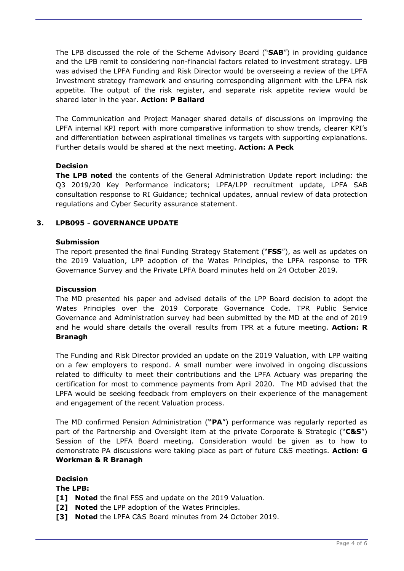The LPB discussed the role of the Scheme Advisory Board ("**SAB**") in providing guidance and the LPB remit to considering non-financial factors related to investment strategy. LPB was advised the LPFA Funding and Risk Director would be overseeing a review of the LPFA Investment strategy framework and ensuring corresponding alignment with the LPFA risk appetite. The output of the risk register, and separate risk appetite review would be shared later in the year. **Action: P Ballard**

The Communication and Project Manager shared details of discussions on improving the LPFA internal KPI report with more comparative information to show trends, clearer KPI's and differentiation between aspirational timelines vs targets with supporting explanations. Further details would be shared at the next meeting. **Action: A Peck**

## **Decision**

**The LPB noted** the contents of the General Administration Update report including: the Q3 2019/20 Key Performance indicators; LPFA/LPP recruitment update, LPFA SAB consultation response to RI Guidance; technical updates, annual review of data protection regulations and Cyber Security assurance statement.

## **3. LPB095 - GOVERNANCE UPDATE**

## **Submission**

The report presented the final Funding Strategy Statement ("**FSS**"), as well as updates on the 2019 Valuation, LPP adoption of the Wates Principles, the LPFA response to TPR Governance Survey and the Private LPFA Board minutes held on 24 October 2019.

## **Discussion**

The MD presented his paper and advised details of the LPP Board decision to adopt the Wates Principles over the 2019 Corporate Governance Code. TPR Public Service Governance and Administration survey had been submitted by the MD at the end of 2019 and he would share details the overall results from TPR at a future meeting. **Action: R Branagh**

The Funding and Risk Director provided an update on the 2019 Valuation, with LPP waiting on a few employers to respond. A small number were involved in ongoing discussions related to difficulty to meet their contributions and the LPFA Actuary was preparing the certification for most to commence payments from April 2020. The MD advised that the LPFA would be seeking feedback from employers on their experience of the management and engagement of the recent Valuation process.

The MD confirmed Pension Administration (**"PA**") performance was regularly reported as part of the Partnership and Oversight item at the private Corporate & Strategic ("**C&S**") Session of the LPFA Board meeting. Consideration would be given as to how to demonstrate PA discussions were taking place as part of future C&S meetings. **Action: G Workman & R Branagh**

## **Decision**

**The LPB:**

- **[1] Noted** the final FSS and update on the 2019 Valuation.
- **[2] Noted** the LPP adoption of the Wates Principles.
- **[3] Noted** the LPFA C&S Board minutes from 24 October 2019.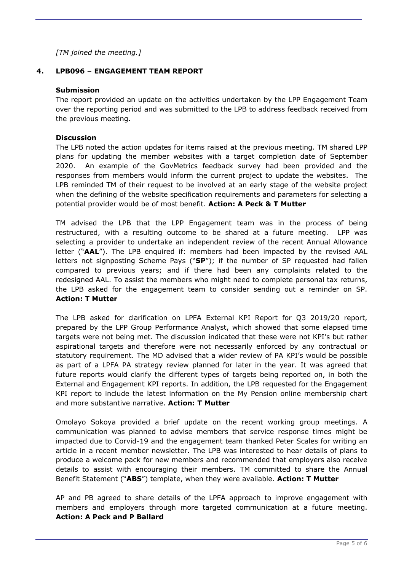*[TM joined the meeting.]*

## **4. LPB096 – ENGAGEMENT TEAM REPORT**

#### **Submission**

The report provided an update on the activities undertaken by the LPP Engagement Team over the reporting period and was submitted to the LPB to address feedback received from the previous meeting.

## **Discussion**

The LPB noted the action updates for items raised at the previous meeting. TM shared LPP plans for updating the member websites with a target completion date of September 2020. An example of the GovMetrics feedback survey had been provided and the responses from members would inform the current project to update the websites. The LPB reminded TM of their request to be involved at an early stage of the website project when the defining of the website specification requirements and parameters for selecting a potential provider would be of most benefit. **Action: A Peck & T Mutter**

TM advised the LPB that the LPP Engagement team was in the process of being restructured, with a resulting outcome to be shared at a future meeting. LPP was selecting a provider to undertake an independent review of the recent Annual Allowance letter ("**AAL**"). The LPB enquired if: members had been impacted by the revised AAL letters not signposting Scheme Pays ("**SP**"); if the number of SP requested had fallen compared to previous years; and if there had been any complaints related to the redesigned AAL. To assist the members who might need to complete personal tax returns, the LPB asked for the engagement team to consider sending out a reminder on SP. **Action: T Mutter**

The LPB asked for clarification on LPFA External KPI Report for Q3 2019/20 report, prepared by the LPP Group Performance Analyst, which showed that some elapsed time targets were not being met. The discussion indicated that these were not KPI's but rather aspirational targets and therefore were not necessarily enforced by any contractual or statutory requirement. The MD advised that a wider review of PA KPI's would be possible as part of a LPFA PA strategy review planned for later in the year. It was agreed that future reports would clarify the different types of targets being reported on, in both the External and Engagement KPI reports. In addition, the LPB requested for the Engagement KPI report to include the latest information on the My Pension online membership chart and more substantive narrative. **Action: T Mutter**

Omolayo Sokoya provided a brief update on the recent working group meetings. A communication was planned to advise members that service response times might be impacted due to Corvid-19 and the engagement team thanked Peter Scales for writing an article in a recent member newsletter. The LPB was interested to hear details of plans to produce a welcome pack for new members and recommended that employers also receive details to assist with encouraging their members. TM committed to share the Annual Benefit Statement ("**ABS**") template, when they were available. **Action: T Mutter**

AP and PB agreed to share details of the LPFA approach to improve engagement with members and employers through more targeted communication at a future meeting. **Action: A Peck and P Ballard**